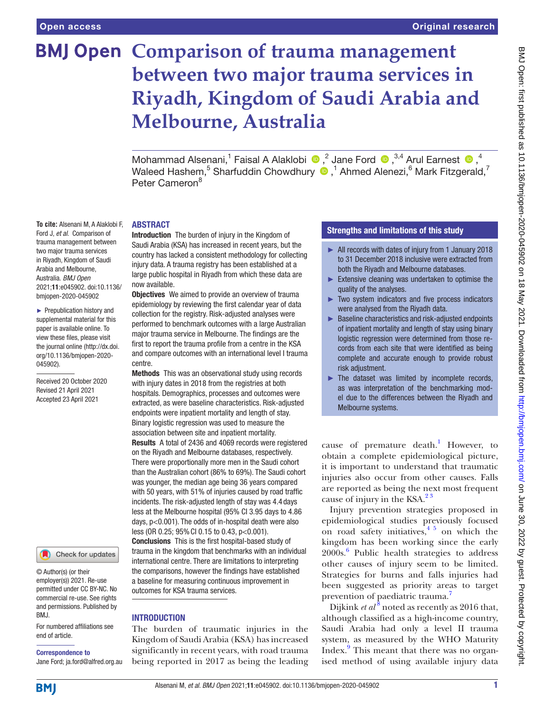**To cite:** Alsenani M, A Alaklobi F, Ford J, *et al*. Comparison of trauma management between two major trauma services in Riyadh, Kingdom of Saudi Arabia and Melbourne, Australia. *BMJ Open* 2021;11:e045902. doi:10.1136/ bmjopen-2020-045902 ► Prepublication history and supplemental material for this paper is available online. To view these files, please visit the journal online (http://dx.doi. org/10.1136/bmjopen-2020-

045902).

Received 20 October 2020 Revised 21 April 2021 Accepted 23 April 2021

# **BMJ Open Comparison of trauma management between two major trauma services in Riyadh, Kingdom of Saudi Arabia and Melbourne, Australia**

MohammadAlsenani,<sup>1</sup> Faisal A Alaklobi  $\bigcirc$ ,<sup>2</sup> Jane Ford  $\bigcirc$ ,<sup>3,4</sup> Arul Earnest  $\bigcirc$ ,<sup>4</sup> Waleed Hashem, $^5$  Sharfuddin Chowdhury  $\textcolor{blue}{\bullet}$  ,<sup>1</sup> Ahmed Alenezi, $^6$  Mark Fitzgerald,<sup>7</sup> Peter Cameron<sup>8</sup>

# ABSTRACT

Introduction The burden of injury in the Kingdom of Saudi Arabia (KSA) has increased in recent years, but the country has lacked a consistent methodology for collecting injury data. A trauma registry has been established at a large public hospital in Riyadh from which these data are now available.

**Objectives** We aimed to provide an overview of trauma epidemiology by reviewing the first calendar year of data collection for the registry. Risk-adjusted analyses were performed to benchmark outcomes with a large Australian major trauma service in Melbourne. The findings are the first to report the trauma profile from a centre in the KSA and compare outcomes with an international level I trauma centre.

Methods This was an observational study using records with injury dates in 2018 from the registries at both hospitals. Demographics, processes and outcomes were extracted, as were baseline characteristics. Risk-adjusted endpoints were inpatient mortality and length of stay. Binary logistic regression was used to measure the association between site and inpatient mortality. Results A total of 2436 and 4069 records were registered on the Riyadh and Melbourne databases, respectively. There were proportionally more men in the Saudi cohort than the Australian cohort (86% to 69%). The Saudi cohort was younger, the median age being 36 years compared with 50 years, with 51% of injuries caused by road traffic incidents. The risk-adjusted length of stay was 4.4 days less at the Melbourne hospital (95% CI 3.95 days to 4.86 days, p<0.001). The odds of in-hospital death were also less (OR 0.25; 95%CI 0.15 to 0.43, p<0.001). Conclusions This is the first hospital-based study of trauma in the kingdom that benchmarks with an individual international centre. There are limitations to interpreting the comparisons, however the findings have established a baseline for measuring continuous improvement in outcomes for KSA trauma services.

# INTRODUCTION

The burden of traumatic injuries in the Kingdom of Saudi Arabia (KSA) has increased significantly in recent years, with road trauma being reported in 2017 as being the leading

# Strengths and limitations of this study

- ► All records with dates of injury from 1 January 2018 to 31 December 2018 inclusive were extracted from both the Riyadh and Melbourne databases.
- $\blacktriangleright$  Extensive cleaning was undertaken to optimise the quality of the analyses.
- ► Two system indicators and five process indicators were analysed from the Riyadh data.
- ► Baseline characteristics and risk-adjusted endpoints of inpatient mortality and length of stay using binary logistic regression were determined from those records from each site that were identified as being complete and accurate enough to provide robust risk adjustment.
- $\blacktriangleright$  The dataset was limited by incomplete records, as was interpretation of the benchmarking model due to the differences between the Riyadh and Melbourne systems.

cause of premature death.<sup>[1](#page-8-0)</sup> However, to obtain a complete epidemiological picture, it is important to understand that traumatic injuries also occur from other causes. Falls are reported as being the next most frequent cause of injury in the KSA. $2<sup>3</sup>$ 

Injury prevention strategies proposed in epidemiological studies previously focused on road safety initiatives, $4\frac{1}{2}$  on which the kingdom has been working since the early 2000s.[6](#page-8-3) Public health strategies to address other causes of injury seem to be limited. Strategies for burns and falls injuries had been suggested as priority areas to target prevention of paediatric trauma.<sup>[7](#page-8-4)</sup>

Dijkink *et al*<sup>[8](#page-8-5)</sup> noted as recently as 2016 that, although classified as a high-income country, Saudi Arabia had only a level II trauma system, as measured by the WHO Maturity Index.<sup>[9](#page-8-6)</sup> This meant that there was no organised method of using available injury data

employer(s)) 2021. Re-use permitted under CC BY-NC. No

© Author(s) (or their

commercial re-use. See rights and permissions. Published by RM<sub>J</sub>

Check for updates

For numbered affiliations see end of article.

# Correspondence to

Jane Ford; ja.ford@alfred.org.au

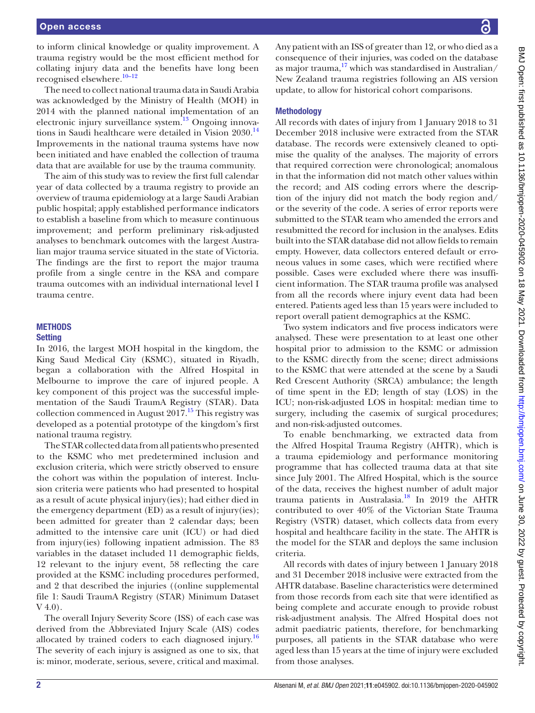to inform clinical knowledge or quality improvement. A trauma registry would be the most efficient method for collating injury data and the benefits have long been recognised elsewhere.<sup>10-12</sup>

The need to collect national trauma data in Saudi Arabia was acknowledged by the Ministry of Health (MOH) in 2014 with the planned national implementation of an electronic injury surveillance system.<sup>13</sup> Ongoing innovations in Saudi healthcare were detailed in Vision 2030.<sup>14</sup> Improvements in the national trauma systems have now been initiated and have enabled the collection of trauma data that are available for use by the trauma community.

The aim of this study was to review the first full calendar year of data collected by a trauma registry to provide an overview of trauma epidemiology at a large Saudi Arabian public hospital; apply established performance indicators to establish a baseline from which to measure continuous improvement; and perform preliminary risk-adjusted analyses to benchmark outcomes with the largest Australian major trauma service situated in the state of Victoria. The findings are the first to report the major trauma profile from a single centre in the KSA and compare trauma outcomes with an individual international level I trauma centre.

# **METHODS Setting**

In 2016, the largest MOH hospital in the kingdom, the King Saud Medical City (KSMC), situated in Riyadh, began a collaboration with the Alfred Hospital in Melbourne to improve the care of injured people. A key component of this project was the successful implementation of the Saudi TraumA Registry (STAR). Data collection commenced in August  $2017<sup>15</sup>$  This registry was developed as a potential prototype of the kingdom's first national trauma registry.

The STAR collected data from all patients who presented to the KSMC who met predetermined inclusion and exclusion criteria, which were strictly observed to ensure the cohort was within the population of interest. Inclusion criteria were patients who had presented to hospital as a result of acute physical injury(ies); had either died in the emergency department (ED) as a result of injury(ies); been admitted for greater than 2 calendar days; been admitted to the intensive care unit (ICU) or had died from injury(ies) following inpatient admission. The 83 variables in the dataset included 11 demographic fields, 12 relevant to the injury event, 58 reflecting the care provided at the KSMC including procedures performed, and 2 that described the injuries (([online supplemental](https://dx.doi.org/10.1136/bmjopen-2020-045902) [file 1:](https://dx.doi.org/10.1136/bmjopen-2020-045902) Saudi TraumA Registry (STAR) Minimum Dataset V 4.0).

The overall Injury Severity Score (ISS) of each case was derived from the Abbreviated Injury Scale (AIS) codes allocated by trained coders to each diagnosed injury.<sup>16</sup> The severity of each injury is assigned as one to six, that is: minor, moderate, serious, severe, critical and maximal.

Any patient with an ISS of greater than 12, or who died as a consequence of their injuries, was coded on the database as major trauma, $17$  which was standardised in Australian/ New Zealand trauma registries following an AIS version update, to allow for historical cohort comparisons.

# **Methodology**

All records with dates of injury from 1 January 2018 to 31 December 2018 inclusive were extracted from the STAR database. The records were extensively cleaned to optimise the quality of the analyses. The majority of errors that required correction were chronological; anomalous in that the information did not match other values within the record; and AIS coding errors where the description of the injury did not match the body region and/ or the severity of the code. A series of error reports were submitted to the STAR team who amended the errors and resubmitted the record for inclusion in the analyses. Edits built into the STAR database did not allow fields to remain empty. However, data collectors entered default or erroneous values in some cases, which were rectified where possible. Cases were excluded where there was insufficient information. The STAR trauma profile was analysed from all the records where injury event data had been entered. Patients aged less than 15 years were included to report overall patient demographics at the KSMC.

Two system indicators and five process indicators were analysed. These were presentation to at least one other hospital prior to admission to the KSMC or admission to the KSMC directly from the scene; direct admissions to the KSMC that were attended at the scene by a Saudi Red Crescent Authority (SRCA) ambulance; the length of time spent in the ED; length of stay (LOS) in the ICU; non-risk-adjusted LOS in hospital: median time to surgery, including the casemix of surgical procedures; and non-risk-adjusted outcomes.

To enable benchmarking, we extracted data from the Alfred Hospital Trauma Registry (AHTR), which is a trauma epidemiology and performance monitoring programme that has collected trauma data at that site since July 2001. The Alfred Hospital, which is the source of the data, receives the highest number of adult major trauma patients in Australasia.[18](#page-8-13) In 2019 the AHTR contributed to over 40% of the Victorian State Trauma Registry (VSTR) dataset, which collects data from every hospital and healthcare facility in the state. The AHTR is the model for the STAR and deploys the same inclusion criteria.

All records with dates of injury between 1 January 2018 and 31 December 2018 inclusive were extracted from the AHTR database. Baseline characteristics were determined from those records from each site that were identified as being complete and accurate enough to provide robust risk-adjustment analysis. The Alfred Hospital does not admit paediatric patients, therefore, for benchmarking purposes, all patients in the STAR database who were aged less than 15 years at the time of injury were excluded from those analyses.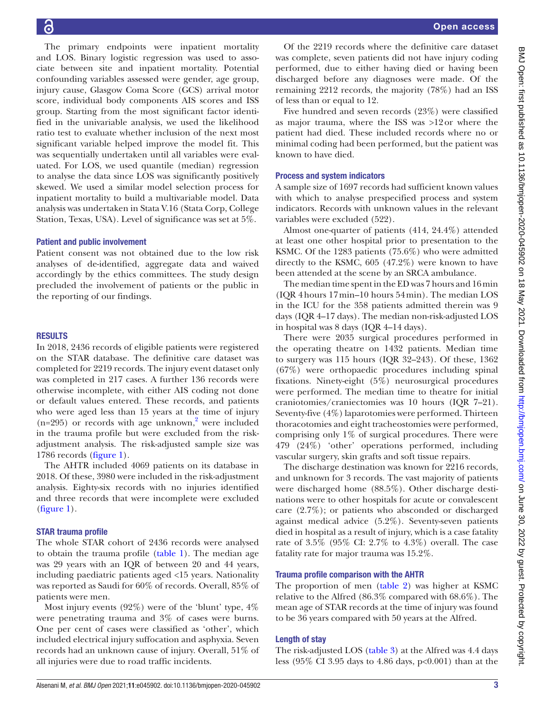The primary endpoints were inpatient mortality and LOS. Binary logistic regression was used to associate between site and inpatient mortality. Potential confounding variables assessed were gender, age group, injury cause, Glasgow Coma Score (GCS) arrival motor score, individual body components AIS scores and ISS group. Starting from the most significant factor identified in the univariable analysis, we used the likelihood ratio test to evaluate whether inclusion of the next most significant variable helped improve the model fit. This was sequentially undertaken until all variables were evaluated. For LOS, we used quantile (median) regression to analyse the data since LOS was significantly positively skewed. We used a similar model selection process for inpatient mortality to build a multivariable model. Data analysis was undertaken in Stata V.16 (Stata Corp, College Station, Texas, USA). Level of significance was set at 5%.

## Patient and public involvement

Patient consent was not obtained due to the low risk analyses of de-identified, aggregate data and waived accordingly by the ethics committees. The study design precluded the involvement of patients or the public in the reporting of our findings.

#### RESULTS

In 2018, 2436 records of eligible patients were registered on the STAR database. The definitive care dataset was completed for 2219 records. The injury event dataset only was completed in 217 cases. A further 136 records were otherwise incomplete, with either AIS coding not done or default values entered. These records, and patients who were aged less than 15 years at the time of injury  $(n=295)$  or records with age unknown,<sup>2</sup> were included in the trauma profile but were excluded from the riskadjustment analysis. The risk-adjusted sample size was 1786 records [\(figure](#page-3-0) 1).

The AHTR included 4069 patients on its database in 2018. Of these, 3980 were included in the risk-adjustment analysis. Eighty-six records with no injuries identified and three records that were incomplete were excluded ([figure](#page-3-0) 1).

# STAR trauma profile

The whole STAR cohort of 2436 records were analysed to obtain the trauma profile ([table](#page-4-0) 1). The median age was 29 years with an IQR of between 20 and 44 years, including paediatric patients aged <15 years. Nationality was reported as Saudi for 60% of records. Overall, 85% of patients were men.

Most injury events (92%) were of the 'blunt' type, 4% were penetrating trauma and 3% of cases were burns. One per cent of cases were classified as 'other', which included electrical injury suffocation and asphyxia. Seven records had an unknown cause of injury. Overall, 51% of all injuries were due to road traffic incidents.

Of the 2219 records where the definitive care dataset was complete, seven patients did not have injury coding performed, due to either having died or having been discharged before any diagnoses were made. Of the remaining 2212 records, the majority (78%) had an ISS of less than or equal to 12.

Five hundred and seven records (23%) were classified as major trauma, where the ISS was >12or where the patient had died. These included records where no or minimal coding had been performed, but the patient was known to have died.

### Process and system indicators

A sample size of 1697 records had sufficient known values with which to analyse prespecified process and system indicators. Records with unknown values in the relevant variables were excluded (522).

Almost one-quarter of patients (414, 24.4%) attended at least one other hospital prior to presentation to the KSMC. Of the 1283 patients (75.6%) who were admitted directly to the KSMC, 605 (47.2%) were known to have been attended at the scene by an SRCA ambulance.

The median time spent in the ED was 7 hours and 16min (IQR 4hours 17min–10 hours 54min). The median LOS in the ICU for the 358 patients admitted therein was 9 days (IQR 4–17 days). The median non-risk-adjusted LOS in hospital was 8 days (IQR 4–14 days).

There were 2035 surgical procedures performed in the operating theatre on 1432 patients. Median time to surgery was 115 hours (IQR 32–243). Of these, 1362 (67%) were orthopaedic procedures including spinal fixations. Ninety-eight (5%) neurosurgical procedures were performed. The median time to theatre for initial craniotomies/craniectomies was 10 hours (IQR 7–21). Seventy-five (4%) laparotomies were performed. Thirteen thoracotomies and eight tracheostomies were performed, comprising only 1% of surgical procedures. There were 479 (24%) 'other' operations performed, including vascular surgery, skin grafts and soft tissue repairs.

The discharge destination was known for 2216 records, and unknown for 3 records. The vast majority of patients were discharged home (88.5%). Other discharge destinations were to other hospitals for acute or convalescent care (2.7%); or patients who absconded or discharged against medical advice (5.2%). Seventy-seven patients died in hospital as a result of injury, which is a case fatality rate of 3.5% (95% CI: 2.7% to 4.3%) overall. The case fatality rate for major trauma was 15.2%.

#### Trauma profile comparison with the AHTR

The proportion of men ([table](#page-5-0) 2) was higher at KSMC relative to the Alfred (86.3% compared with 68.6%). The mean age of STAR records at the time of injury was found to be 36 years compared with 50 years at the Alfred.

# Length of stay

The risk-adjusted LOS ([table](#page-5-1) 3) at the Alfred was 4.4 days less (95% CI 3.95 days to 4.86 days, p<0.001) than at the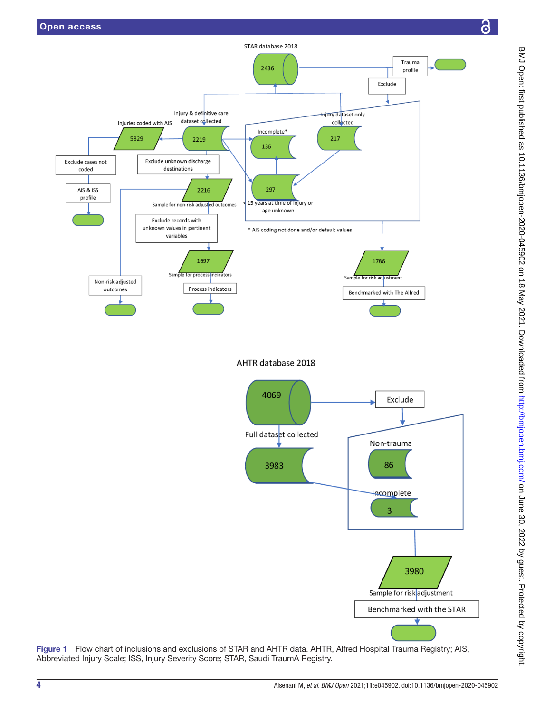

STAR database 2018

<span id="page-3-0"></span>Figure 1 Flow chart of inclusions and exclusions of STAR and AHTR data. AHTR, Alfred Hospital Trauma Registry; AIS, Abbreviated Injury Scale; ISS, Injury Severity Score; STAR, Saudi TraumA Registry.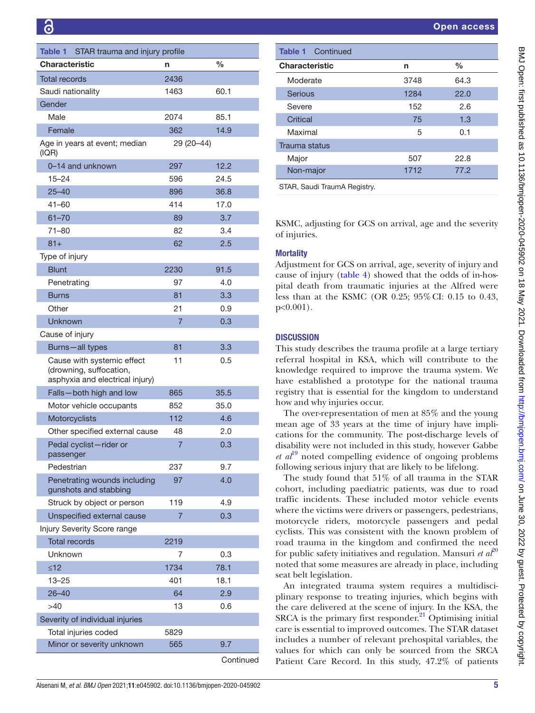<span id="page-4-0"></span>

| Table 1<br>STAR trauma and injury profile                                                |                |      |  |
|------------------------------------------------------------------------------------------|----------------|------|--|
| <b>Characteristic</b>                                                                    | n              | $\%$ |  |
| <b>Total records</b>                                                                     | 2436           |      |  |
| Saudi nationality                                                                        | 1463           | 60.1 |  |
| Gender                                                                                   |                |      |  |
| Male                                                                                     | 2074           | 85.1 |  |
| Female                                                                                   | 362            | 14.9 |  |
| Age in years at event; median<br>(IQR)                                                   | 29 (20 - 44)   |      |  |
| 0-14 and unknown                                                                         | 297            | 12.2 |  |
| $15 - 24$                                                                                | 596            | 24.5 |  |
| $25 - 40$                                                                                | 896            | 36.8 |  |
| 41-60                                                                                    | 414            | 17.0 |  |
| $61 - 70$                                                                                | 89             | 3.7  |  |
| 71-80                                                                                    | 82             | 3.4  |  |
| $81 +$                                                                                   | 62             | 2.5  |  |
| Type of injury                                                                           |                |      |  |
| <b>Blunt</b>                                                                             | 2230           | 91.5 |  |
| Penetrating                                                                              | 97             | 4.0  |  |
| Burns                                                                                    | 81             | 3.3  |  |
| Other                                                                                    | 21             | 0.9  |  |
| Unknown                                                                                  | 7              | 0.3  |  |
| Cause of injury                                                                          |                |      |  |
| Burns-all types                                                                          | 81             | 3.3  |  |
| Cause with systemic effect<br>(drowning, suffocation,<br>asphyxia and electrical injury) | 11             | 0.5  |  |
| Falls-both high and low                                                                  | 865            | 35.5 |  |
| Motor vehicle occupants                                                                  | 852            | 35.0 |  |
| Motorcyclists                                                                            | 112            | 4.6  |  |
| Other specified external cause                                                           | 48             | 2.0  |  |
| Pedal cyclist-rider or<br>passenger                                                      | $\overline{7}$ | 0.3  |  |
| Pedestrian                                                                               | 237            | 9.7  |  |
| Penetrating wounds including<br>gunshots and stabbing                                    | 97             | 4.0  |  |
| Struck by object or person                                                               | 119            | 4.9  |  |
| Unspecified external cause                                                               | $\overline{7}$ | 0.3  |  |
| Injury Severity Score range                                                              |                |      |  |
| <b>Total records</b>                                                                     | 2219           |      |  |
| Unknown                                                                                  | 7              | 0.3  |  |
| $\leq 12$                                                                                | 1734           | 78.1 |  |
| 13–25                                                                                    | 401            | 18.1 |  |
| $26 - 40$                                                                                | 64             | 2.9  |  |
| >40                                                                                      | 13             | 0.6  |  |
| Severity of individual injuries                                                          |                |      |  |
| Total injuries coded                                                                     | 5829           |      |  |
| Minor or severity unknown                                                                | 565            | 9.7  |  |
|                                                                                          |                |      |  |

Continued

| <b>Table 1</b> Continued           |      |      |  |  |
|------------------------------------|------|------|--|--|
| <b>Characteristic</b><br>$\%$<br>n |      |      |  |  |
| Moderate                           | 3748 | 64.3 |  |  |
| <b>Serious</b>                     | 1284 | 22.0 |  |  |
| Severe                             | 152  | 2.6  |  |  |
| Critical                           | 75   | 1.3  |  |  |
| Maximal                            | 5    | 0.1  |  |  |
| <b>Trauma status</b>               |      |      |  |  |
| Major                              | 507  | 22.8 |  |  |
| Non-major                          | 1712 | 77.2 |  |  |

STAR, Saudi TraumA Registry.

KSMC, adjusting for GCS on arrival, age and the severity of injuries.

# **Mortality**

Adjustment for GCS on arrival, age, severity of injury and cause of injury [\(table](#page-6-0) 4) showed that the odds of in-hospital death from traumatic injuries at the Alfred were less than at the KSMC (OR 0.25; 95%CI: 0.15 to 0.43, p<0.001).

# **DISCUSSION**

This study describes the trauma profile at a large tertiary referral hospital in KSA, which will contribute to the knowledge required to improve the trauma system. We have established a prototype for the national trauma registry that is essential for the kingdom to understand how and why injuries occur.

The over-representation of men at 85% and the young mean age of 33 years at the time of injury have implications for the community. The post-discharge levels of disability were not included in this study, however Gabbe *et al*[19](#page-8-14) noted compelling evidence of ongoing problems following serious injury that are likely to be lifelong.

The study found that 51% of all trauma in the STAR cohort, including paediatric patients, was due to road traffic incidents. These included motor vehicle events where the victims were drivers or passengers, pedestrians, motorcycle riders, motorcycle passengers and pedal cyclists. This was consistent with the known problem of road trauma in the kingdom and confirmed the need for public safety initiatives and regulation. Mansuri *et*  $a\ell^0$ noted that some measures are already in place, including seat belt legislation.

An integrated trauma system requires a multidisciplinary response to treating injuries, which begins with the care delivered at the scene of injury. In the KSA, the SRCA is the primary first responder. $21$  Optimising initial care is essential to improved outcomes. The STAR dataset includes a number of relevant prehospital variables, the values for which can only be sourced from the SRCA Patient Care Record. In this study, 47.2% of patients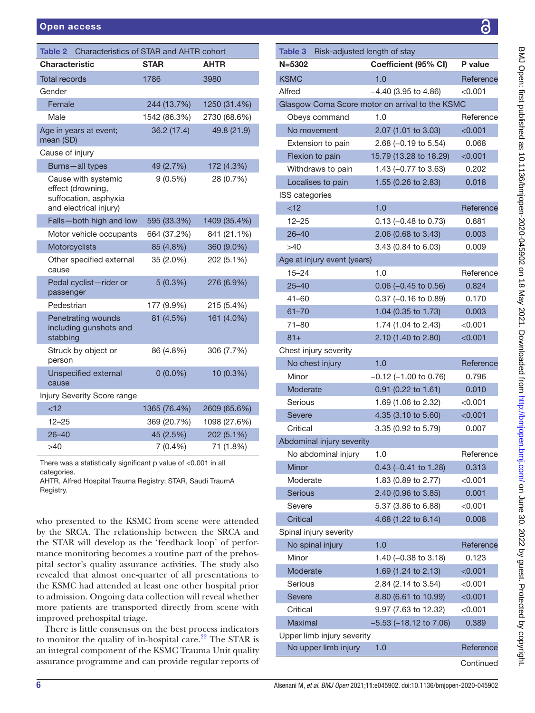<span id="page-5-0"></span>

| Characteristics of STAR and AHTR cohort<br>Table 2                                          |              |              |  |
|---------------------------------------------------------------------------------------------|--------------|--------------|--|
| <b>Characteristic</b>                                                                       | <b>STAR</b>  | <b>AHTR</b>  |  |
| <b>Total records</b>                                                                        | 1786         | 3980         |  |
| Gender                                                                                      |              |              |  |
| Female                                                                                      | 244 (13.7%)  | 1250 (31.4%) |  |
| Male                                                                                        | 1542 (86.3%) | 2730 (68.6%) |  |
| Age in years at event;<br>mean (SD)                                                         | 36.2 (17.4)  | 49.8 (21.9)  |  |
| Cause of injury                                                                             |              |              |  |
| Burns-all types                                                                             | 49 (2.7%)    | 172 (4.3%)   |  |
| Cause with systemic<br>effect (drowning,<br>suffocation, asphyxia<br>and electrical injury) | $9(0.5\%)$   | 28 (0.7%)    |  |
| Falls-both high and low                                                                     | 595 (33.3%)  | 1409 (35.4%) |  |
| Motor vehicle occupants                                                                     | 664 (37.2%)  | 841 (21.1%)  |  |
| Motorcyclists                                                                               | 85 (4.8%)    | 360 (9.0%)   |  |
| Other specified external<br>cause                                                           | 35 (2.0%)    | 202 (5.1%)   |  |
| Pedal cyclist-rider or<br>passenger                                                         | 5(0.3%)      | 276 (6.9%)   |  |
| Pedestrian                                                                                  | 177 (9.9%)   | 215 (5.4%)   |  |
| <b>Penetrating wounds</b><br>including gunshots and<br>stabbing                             | 81 (4.5%)    | 161 (4.0%)   |  |
| Struck by object or<br>person                                                               | 86 (4.8%)    | 306 (7.7%)   |  |
| <b>Unspecified external</b><br>cause                                                        | $0(0.0\%)$   | 10 (0.3%)    |  |
| Injury Severity Score range                                                                 |              |              |  |
| < 12                                                                                        | 1365 (76.4%) | 2609 (65.6%) |  |
| $12 - 25$                                                                                   | 369 (20.7%)  | 1098 (27.6%) |  |
| $26 - 40$                                                                                   | 45 (2.5%)    | 202 (5.1%)   |  |
| >40                                                                                         | $7(0.4\%)$   | 71 (1.8%)    |  |
| There was a statistically significant p value of <0.001 in all                              |              |              |  |

categories.

AHTR, Alfred Hospital Trauma Registry; STAR, Saudi TraumA Registry.

who presented to the KSMC from scene were attended by the SRCA. The relationship between the SRCA and the STAR will develop as the 'feedback loop' of performance monitoring becomes a routine part of the prehospital sector's quality assurance activities. The study also revealed that almost one-quarter of all presentations to the KSMC had attended at least one other hospital prior to admission. Ongoing data collection will reveal whether more patients are transported directly from scene with improved prehospital triage.

There is little consensus on the best process indicators to monitor the quality of in-hospital care.<sup>[22](#page-8-17)</sup> The STAR is an integral component of the KSMC Trauma Unit quality assurance programme and can provide regular reports of

| こここ く                                                                                                           |
|-----------------------------------------------------------------------------------------------------------------|
|                                                                                                                 |
|                                                                                                                 |
|                                                                                                                 |
| i                                                                                                               |
|                                                                                                                 |
|                                                                                                                 |
|                                                                                                                 |
|                                                                                                                 |
|                                                                                                                 |
|                                                                                                                 |
|                                                                                                                 |
|                                                                                                                 |
|                                                                                                                 |
|                                                                                                                 |
|                                                                                                                 |
|                                                                                                                 |
|                                                                                                                 |
|                                                                                                                 |
|                                                                                                                 |
|                                                                                                                 |
|                                                                                                                 |
|                                                                                                                 |
| )<br>)<br>)<br>)                                                                                                |
|                                                                                                                 |
|                                                                                                                 |
|                                                                                                                 |
|                                                                                                                 |
|                                                                                                                 |
|                                                                                                                 |
|                                                                                                                 |
|                                                                                                                 |
|                                                                                                                 |
|                                                                                                                 |
|                                                                                                                 |
| <b>DATDDD &gt;&gt; 40 MAD: JDDD</b>                                                                             |
|                                                                                                                 |
|                                                                                                                 |
|                                                                                                                 |
|                                                                                                                 |
| $\frac{1}{2}$                                                                                                   |
|                                                                                                                 |
|                                                                                                                 |
| )<br>)                                                                                                          |
| :<br>S                                                                                                          |
|                                                                                                                 |
|                                                                                                                 |
|                                                                                                                 |
|                                                                                                                 |
|                                                                                                                 |
|                                                                                                                 |
|                                                                                                                 |
|                                                                                                                 |
|                                                                                                                 |
|                                                                                                                 |
|                                                                                                                 |
|                                                                                                                 |
|                                                                                                                 |
|                                                                                                                 |
|                                                                                                                 |
|                                                                                                                 |
|                                                                                                                 |
|                                                                                                                 |
| <b>Allis Circles in College To The Circles in Allis College To Allis And Allis College To Allis And Allis A</b> |
|                                                                                                                 |
|                                                                                                                 |
|                                                                                                                 |
|                                                                                                                 |
|                                                                                                                 |
|                                                                                                                 |
|                                                                                                                 |
|                                                                                                                 |
|                                                                                                                 |
|                                                                                                                 |
|                                                                                                                 |
|                                                                                                                 |
|                                                                                                                 |
| :<br>:<br>:                                                                                                     |
|                                                                                                                 |
|                                                                                                                 |
|                                                                                                                 |
|                                                                                                                 |
| `<br>`<br>`<br>.<br>•                                                                                           |
|                                                                                                                 |
|                                                                                                                 |
|                                                                                                                 |
|                                                                                                                 |
|                                                                                                                 |

<span id="page-5-1"></span>

| <b>Table 3</b><br>Risk-adjusted length of stay |                                                 |           |  |
|------------------------------------------------|-------------------------------------------------|-----------|--|
| $N = 5302$                                     | Coefficient (95% CI)                            | P value   |  |
| <b>KSMC</b>                                    | 1.0                                             | Reference |  |
| Alfred                                         | $-4.40$ (3.95 to 4.86)                          | $<$ 0.001 |  |
|                                                | Glasgow Coma Score motor on arrival to the KSMC |           |  |
| Obeys command                                  | 1.0                                             | Reference |  |
| No movement                                    | 2.07 (1.01 to 3.03)                             | < 0.001   |  |
| Extension to pain                              | $2.68$ (-0.19 to 5.54)                          | 0.068     |  |
| Flexion to pain                                | 15.79 (13.28 to 18.29)                          | < 0.001   |  |
| Withdraws to pain                              | 1.43 $(-0.77$ to 3.63)                          | 0.202     |  |
| Localises to pain                              | 1.55 (0.26 to 2.83)                             | 0.018     |  |
| <b>ISS categories</b>                          |                                                 |           |  |
| $<$ 12                                         | 1.0                                             | Reference |  |
| $12 - 25$                                      | $0.13$ (-0.48 to 0.73)                          | 0.681     |  |
| $26 - 40$                                      | 2.06 (0.68 to 3.43)                             | 0.003     |  |
| >40                                            | 3.43 (0.84 to 6.03)                             | 0.009     |  |
| Age at injury event (years)                    |                                                 |           |  |
| $15 - 24$                                      | 1.0                                             | Reference |  |
| $25 - 40$                                      | $0.06$ (-0.45 to 0.56)                          | 0.824     |  |
| $41 - 60$                                      | $0.37$ (-0.16 to 0.89)                          | 0.170     |  |
| $61 - 70$                                      | 1.04 (0.35 to 1.73)                             | 0.003     |  |
| $71 - 80$                                      | 1.74 (1.04 to 2.43)                             | $<$ 0.001 |  |
| $81 +$                                         | 2.10 (1.40 to 2.80)                             | < 0.001   |  |
| Chest injury severity                          |                                                 |           |  |
| No chest injury                                | 1.0                                             | Reference |  |
| Minor                                          | $-0.12$ (-1.00 to 0.76)                         | 0.796     |  |
| Moderate                                       | 0.91 (0.22 to 1.61)                             | 0.010     |  |
| Serious                                        | 1.69 (1.06 to 2.32)                             | $<$ 0.001 |  |
| <b>Severe</b>                                  | 4.35 (3.10 to 5.60)                             | < 0.001   |  |
| Critical                                       | 3.35 (0.92 to 5.79)                             | 0.007     |  |
| Abdominal injury severity                      |                                                 |           |  |
| No abdominal injury                            | 1.0                                             | Reference |  |
| Minor                                          | 0.43 (-0.41 to 1.28)                            | 0.313     |  |
| Moderate                                       | 1.83 (0.89 to 2.77)                             | < 0.001   |  |
| <b>Serious</b>                                 | 2.40 (0.96 to 3.85)                             | 0.001     |  |
| Severe                                         | 5.37 (3.86 to 6.88)                             | < 0.001   |  |
| Critical                                       | 4.68 (1.22 to 8.14)                             | 0.008     |  |
| Spinal injury severity                         |                                                 |           |  |
| No spinal injury                               | 1.0                                             | Reference |  |
| Minor                                          | 1.40 (-0.38 to 3.18)                            | 0.123     |  |
| Moderate                                       | 1.69 (1.24 to 2.13)                             | < 0.001   |  |
| Serious                                        | 2.84 (2.14 to 3.54)                             | < 0.001   |  |
| <b>Severe</b>                                  | 8.80 (6.61 to 10.99)                            | < 0.001   |  |
| Critical                                       | 9.97 (7.63 to 12.32)                            | < 0.001   |  |
| Maximal                                        | $-5.53$ ( $-18.12$ to $7.06$ )                  | 0.389     |  |
| Upper limb injury severity                     |                                                 |           |  |
| No upper limb injury                           | 1.0                                             | Reference |  |
|                                                |                                                 | Continued |  |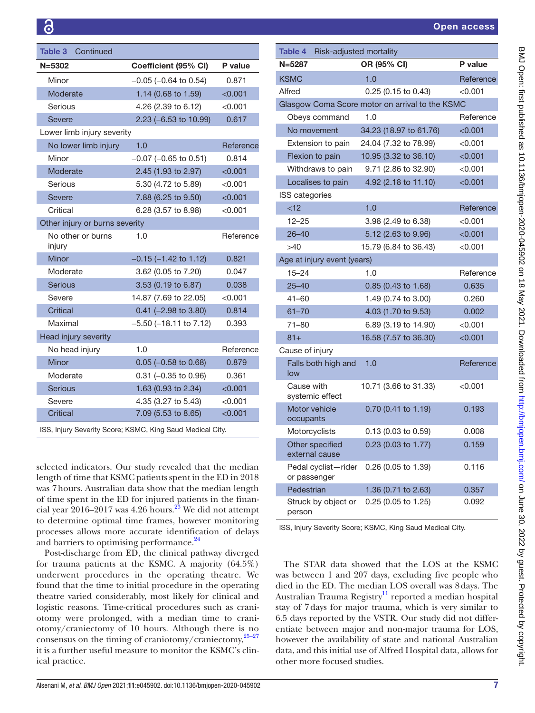| Table 3<br>Continued           |                                |           |
|--------------------------------|--------------------------------|-----------|
| $N = 5302$                     | Coefficient (95% CI)           | P value   |
| Minor                          | $-0.05$ ( $-0.64$ to 0.54)     | 0.871     |
| Moderate                       | 1.14 (0.68 to 1.59)            | < 0.001   |
| Serious                        | 4.26 (2.39 to 6.12)            | < 0.001   |
| Severe                         | 2.23 (-6.53 to 10.99)          | 0.617     |
| Lower limb injury severity     |                                |           |
| No lower limb injury           | 1.0                            | Reference |
| Minor                          | $-0.07$ ( $-0.65$ to 0.51)     | 0.814     |
| Moderate                       | 2.45 (1.93 to 2.97)            | < 0.001   |
| Serious                        | 5.30 (4.72 to 5.89)            | < 0.001   |
| <b>Severe</b>                  | 7.88 (6.25 to 9.50)            | < 0.001   |
| Critical                       | 6.28 (3.57 to 8.98)            | < 0.001   |
| Other injury or burns severity |                                |           |
| No other or burns              | 1.0                            | Reference |
| injury                         |                                |           |
| Minor                          | $-0.15$ ( $-1.42$ to 1.12)     | 0.821     |
| Moderate                       | 3.62 (0.05 to 7.20)            | 0.047     |
| <b>Serious</b>                 | 3.53 (0.19 to 6.87)            | 0.038     |
| Severe                         | 14.87 (7.69 to 22.05)          | < 0.001   |
| Critical                       | $0.41$ (-2.98 to 3.80)         | 0.814     |
| Maximal                        | $-5.50$ ( $-18.11$ to $7.12$ ) | 0.393     |
| Head injury severity           |                                |           |
| No head injury                 | 1.0                            | Reference |
| Minor                          | $0.05$ (-0.58 to 0.68)         | 0.879     |
| Moderate                       | $0.31$ (-0.35 to 0.96)         | 0.361     |
| <b>Serious</b>                 | 1.63 (0.93 to 2.34)            | < 0.001   |
| Severe                         | 4.35 (3.27 to 5.43)            | < 0.001   |
| <b>Critical</b>                | 7.09 (5.53 to 8.65)            | < 0.001   |

ISS, Injury Severity Score; KSMC, King Saud Medical City.

selected indicators. Our study revealed that the median length of time that KSMC patients spent in the ED in 2018 was 7hours. Australian data show that the median length of time spent in the ED for injured patients in the financial year  $2016-2017$  was 4.26 hours.<sup>23</sup> We did not attempt to determine optimal time frames, however monitoring processes allows more accurate identification of delays and barriers to optimising performance.<sup>24</sup>

Post-discharge from ED, the clinical pathway diverged for trauma patients at the KSMC. A majority (64.5%) underwent procedures in the operating theatre. We found that the time to initial procedure in the operating theatre varied considerably, most likely for clinical and logistic reasons. Time-critical procedures such as craniotomy were prolonged, with a median time to craniotomy/craniectomy of 10 hours. Although there is no consensus on the timing of craniotomy/craniectomy, $25-27$ it is a further useful measure to monitor the KSMC's clinical practice.

<span id="page-6-0"></span>

| Table 4 Risk-adjusted mortality     |                                                 |               |  |
|-------------------------------------|-------------------------------------------------|---------------|--|
| $N = 5287$                          | OR (95% CI)                                     | P value       |  |
| <b>KSMC</b>                         | 1.0                                             | Reference     |  |
| Alfred                              | $0.25$ (0.15 to 0.43)                           | < 0.001       |  |
|                                     | Glasgow Coma Score motor on arrival to the KSMC |               |  |
| Obeys command                       | 1.0                                             | Reference     |  |
| No movement                         | 34.23 (18.97 to 61.76)                          | < 0.001       |  |
| Extension to pain                   | 24.04 (7.32 to 78.99)                           | < 0.001       |  |
| Flexion to pain                     | 10.95 (3.32 to 36.10)                           | <0.001        |  |
| Withdraws to pain                   | 9.71 (2.86 to 32.90)                            | $<$ 0.001     |  |
| Localises to pain                   | 4.92 (2.18 to 11.10)                            | < 0.001       |  |
| <b>ISS</b> categories               |                                                 |               |  |
| < 12                                | 1.0                                             | Reference     |  |
| $12 - 25$                           | 3.98 (2.49 to 6.38)                             | $<$ 0.001     |  |
| $26 - 40$                           | 5.12 (2.63 to 9.96)                             | < 0.001       |  |
| >40                                 | 15.79 (6.84 to 36.43)                           | < 0.001       |  |
| Age at injury event (years)         |                                                 |               |  |
| $15 - 24$                           | 1.0                                             | Reference     |  |
| $25 - 40$                           | 0.85 (0.43 to 1.68)                             | 0.635         |  |
| $41 - 60$                           | 1.49 (0.74 to 3.00)                             | 0.260         |  |
| $61 - 70$                           | 4.03 (1.70 to 9.53)                             | 0.002         |  |
| $71 - 80$                           | 6.89 (3.19 to 14.90)                            | $<$ 0.001 $<$ |  |
| $81 +$                              | 16.58 (7.57 to 36.30)                           | < 0.001       |  |
| Cause of injury                     |                                                 |               |  |
| Falls both high and<br>low          | 1.0                                             | Reference     |  |
| Cause with<br>systemic effect       | 10.71 (3.66 to 31.33)                           | $<$ 0.001 $<$ |  |
| Motor vehicle<br>occupants          | 0.70 (0.41 to 1.19)                             | 0.193         |  |
| Motorcyclists                       | 0.13 (0.03 to 0.59)                             | 0.008         |  |
| Other specified<br>external cause   | 0.23 (0.03 to 1.77)                             | 0.159         |  |
| Pedal cyclist-rider<br>or passenger | 0.26 (0.05 to 1.39)                             | 0.116         |  |
| Pedestrian                          | 1.36 (0.71 to 2.63)                             | 0.357         |  |
| Struck by object or<br>person       | 0.25 (0.05 to 1.25)                             | 0.092         |  |

ISS, Injury Severity Score; KSMC, King Saud Medical City.

The STAR data showed that the LOS at the KSMC was between 1 and 207 days, excluding five people who died in the ED. The median LOS overall was 8days. The Australian Trauma Registry<sup>[11](#page-8-21)</sup> reported a median hospital stay of 7days for major trauma, which is very similar to 6.5 days reported by the VSTR. Our study did not differentiate between major and non-major trauma for LOS, however the availability of state and national Australian data, and this initial use of Alfred Hospital data, allows for other more focused studies.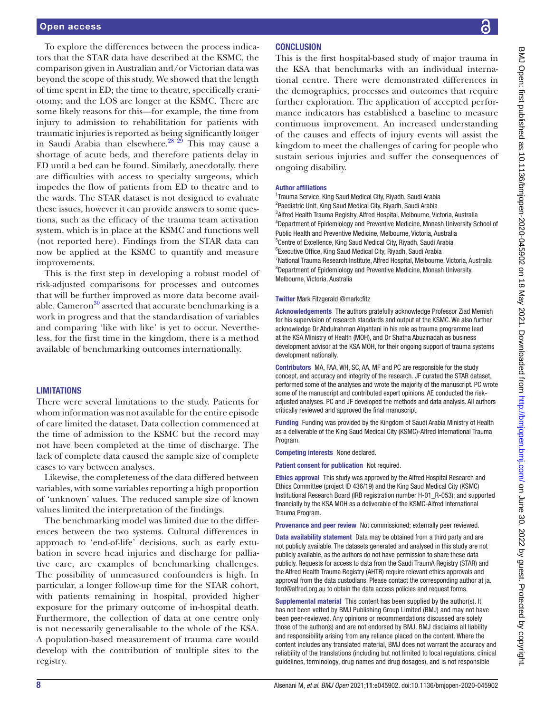To explore the differences between the process indicators that the STAR data have described at the KSMC, the comparison given in Australian and/or Victorian data was beyond the scope of this study. We showed that the length of time spent in ED; the time to theatre, specifically craniotomy; and the LOS are longer at the KSMC. There are some likely reasons for this—for example, the time from injury to admission to rehabilitation for patients with traumatic injuries is reported as being significantly longer in Saudi Arabia than elsewhere. $^{28\,29}$  This may cause a shortage of acute beds, and therefore patients delay in ED until a bed can be found. Similarly, anecdotally, there are difficulties with access to specialty surgeons, which impedes the flow of patients from ED to theatre and to the wards. The STAR dataset is not designed to evaluate these issues, however it can provide answers to some questions, such as the efficacy of the trauma team activation system, which is in place at the KSMC and functions well (not reported here). Findings from the STAR data can now be applied at the KSMC to quantify and measure improvements.

This is the first step in developing a robust model of risk-adjusted comparisons for processes and outcomes that will be further improved as more data become available. Cameron<sup>30</sup> asserted that accurate benchmarking is a work in progress and that the standardisation of variables and comparing 'like with like' is yet to occur. Nevertheless, for the first time in the kingdom, there is a method available of benchmarking outcomes internationally.

# **LIMITATIONS**

There were several limitations to the study. Patients for whom information was not available for the entire episode of care limited the dataset. Data collection commenced at the time of admission to the KSMC but the record may not have been completed at the time of discharge. The lack of complete data caused the sample size of complete cases to vary between analyses.

Likewise, the completeness of the data differed between variables, with some variables reporting a high proportion of 'unknown' values. The reduced sample size of known values limited the interpretation of the findings.

The benchmarking model was limited due to the differences between the two systems. Cultural differences in approach to 'end-of-life' decisions, such as early extubation in severe head injuries and discharge for palliative care, are examples of benchmarking challenges. The possibility of unmeasured confounders is high. In particular, a longer follow-up time for the STAR cohort, with patients remaining in hospital, provided higher exposure for the primary outcome of in-hospital death. Furthermore, the collection of data at one centre only is not necessarily generalisable to the whole of the KSA. A population-based measurement of trauma care would develop with the contribution of multiple sites to the registry.

# **CONCLUSION**

This is the first hospital-based study of major trauma in the KSA that benchmarks with an individual international centre. There were demonstrated differences in the demographics, processes and outcomes that require further exploration. The application of accepted performance indicators has established a baseline to measure continuous improvement. An increased understanding of the causes and effects of injury events will assist the kingdom to meet the challenges of caring for people who sustain serious injuries and suffer the consequences of ongoing disability.

#### Author affiliations

<sup>1</sup>Trauma Service, King Saud Medical City, Riyadh, Saudi Arabia <sup>2</sup>Paediatric Unit, King Saud Medical City, Riyadh, Saudi Arabia 3 Alfred Health Trauma Registry, Alfred Hospital, Melbourne, Victoria, Australia 4 Department of Epidemiology and Preventive Medicine, Monash University School of Public Health and Preventive Medicine, Melbourne, Victoria, Australia 5 Centre of Excellence, King Saud Medical City, Riyadh, Saudi Arabia 6 Executive Office, King Saud Medical City, Riyadh, Saudi Arabia <sup>7</sup>National Trauma Research Institute, Alfred Hospital, Melbourne, Victoria, Australia 8 Department of Epidemiology and Preventive Medicine, Monash University, Melbourne, Victoria, Australia

#### Twitter Mark Fitzgerald [@markcfitz](https://twitter.com/markcfitz)

Acknowledgements The authors gratefully acknowledge Professor Ziad Memish for his supervision of research standards and output at the KSMC. We also further acknowledge Dr Abdulrahman Alqahtani in his role as trauma programme lead at the KSA Ministry of Health (MOH), and Dr Shatha Abuzinadah as business development advisor at the KSA MOH, for their ongoing support of trauma systems development nationally.

Contributors MA, FAA, WH, SC, AA, MF and PC are responsible for the study concept, and accuracy and integrity of the research. JF curated the STAR dataset, performed some of the analyses and wrote the majority of the manuscript. PC wrote some of the manuscript and contributed expert opinions. AE conducted the riskadjusted analyses. PC and JF developed the methods and data analysis. All authors critically reviewed and approved the final manuscript.

Funding Funding was provided by the Kingdom of Saudi Arabia Ministry of Health as a deliverable of the King Saud Medical City (KSMC)-Alfred International Trauma **Program** 

Competing interests None declared.

Patient consent for publication Not required.

Ethics approval This study was approved by the Alfred Hospital Research and Ethics Committee (project ID 436/19) and the King Saud Medical City (KSMC) Institutional Research Board (IRB registration number H-01\_R-053); and supported financially by the KSA MOH as a deliverable of the KSMC-Alfred International Trauma Program.

Provenance and peer review Not commissioned; externally peer reviewed.

Data availability statement Data may be obtained from a third party and are not publicly available. The datasets generated and analysed in this study are not publicly available, as the authors do not have permission to share these data publicly. Requests for access to data from the Saudi TraumA Registry (STAR) and the Alfred Health Trauma Registry (AHTR) require relevant ethics approvals and approval from the data custodians. Please contact the corresponding author at ja. ford@alfred.org.au to obtain the data access policies and request forms.

Supplemental material This content has been supplied by the author(s). It has not been vetted by BMJ Publishing Group Limited (BMJ) and may not have been peer-reviewed. Any opinions or recommendations discussed are solely those of the author(s) and are not endorsed by BMJ. BMJ disclaims all liability and responsibility arising from any reliance placed on the content. Where the content includes any translated material, BMJ does not warrant the accuracy and reliability of the translations (including but not limited to local regulations, clinical guidelines, terminology, drug names and drug dosages), and is not responsible